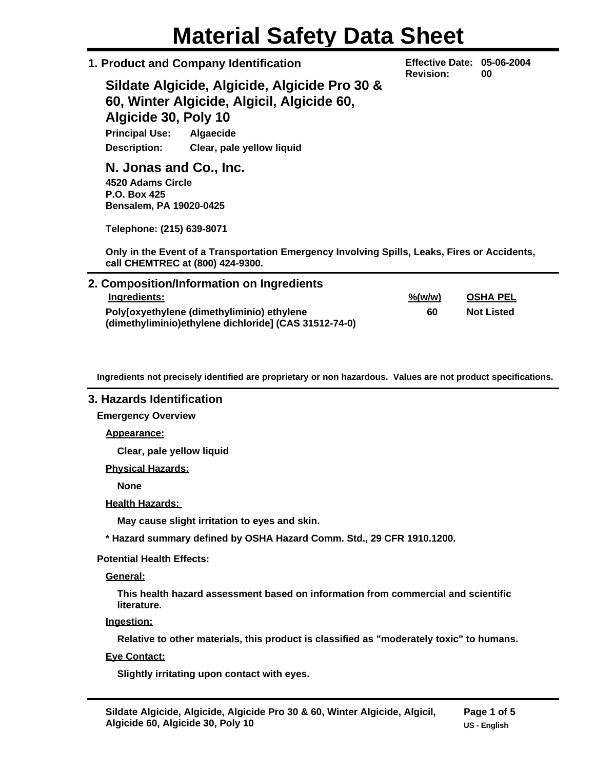# **Material Safety Data Sheet**

**1. Product and Company Identification** 

**Sildate Algicide, Algicide, Algicide Pro 30 & 60, Winter Algicide, Algicil, Algicide 60, Algicide 30, Poly 10 Principal Use: Algaecide Description: Clear, pale yellow liquid**

**N. Jonas and Co., Inc. 4520 Adams Circle**

**P.O. Box 425 Bensalem, PA 19020-0425**

**Telephone: (215) 639-8071**

**Only in the Event of a Transportation Emergency Involving Spills, Leaks, Fires or Accidents, call CHEMTREC at (800) 424-9300.**

| 2. Composition/Information on Ingredients             |                     |                   |  |
|-------------------------------------------------------|---------------------|-------------------|--|
| Ingredients:                                          | $\frac{9}{6}$ (w/w) | <u>OSHA PEL</u>   |  |
| Polyfoxyethylene (dimethyliminio) ethylene            | 60                  | <b>Not Listed</b> |  |
| (dimethyliminio)ethylene dichloride] (CAS 31512-74-0) |                     |                   |  |

**Ingredients not precisely identified are proprietary or non hazardous. Values are not product specifications.**

## **3. Hazards Identification**

**Emergency Overview**

**Appearance:**

**Clear, pale yellow liquid**

**Physical Hazards:**

**None**

**Health Hazards:** 

**May cause slight irritation to eyes and skin.**

**\* Hazard summary defined by OSHA Hazard Comm. Std., 29 CFR 1910.1200.**

## **Potential Health Effects:**

**General:**

**This health hazard assessment based on information from commercial and scientific literature.**

**Ingestion:**

**Relative to other materials, this product is classified as "moderately toxic" to humans.**

**Eye Contact:**

**Slightly irritating upon contact with eyes.**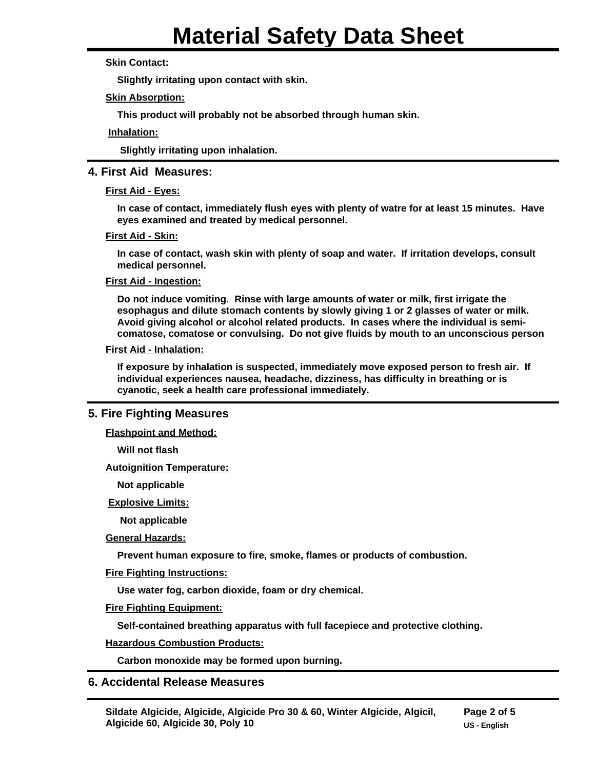## **Skin Contact:**

**Slightly irritating upon contact with skin.**

#### **Skin Absorption:**

**This product will probably not be absorbed through human skin.**

**Inhalation:**

**Slightly irritating upon inhalation.**

## **4. First Aid Measures:**

#### **First Aid - Eyes:**

**In case of contact, immediately flush eyes with plenty of watre for at least 15 minutes. Have eyes examined and treated by medical personnel.**

#### **First Aid - Skin:**

**In case of contact, wash skin with plenty of soap and water. If irritation develops, consult medical personnel.**

#### **First Aid - Ingestion:**

**Do not induce vomiting. Rinse with large amounts of water or milk, first irrigate the esophagus and dilute stomach contents by slowly giving 1 or 2 glasses of water or milk. Avoid giving alcohol or alcohol related products. In cases where the individual is semicomatose, comatose or convulsing. Do not give fluids by mouth to an unconscious person.**

#### **First Aid - Inhalation:**

**If exposure by inhalation is suspected, immediately move exposed person to fresh air. If individual experiences nausea, headache, dizziness, has difficulty in breathing or is cyanotic, seek a health care professional immediately.**

## **5. Fire Fighting Measures**

**Flashpoint and Method:**

**Will not flash**

**Autoignition Temperature:**

**Not applicable**

**Explosive Limits:**

**Not applicable**

**General Hazards:**

**Prevent human exposure to fire, smoke, flames or products of combustion.**

**Fire Fighting Instructions:**

**Use water fog, carbon dioxide, foam or dry chemical.**

**Fire Fighting Equipment:**

**Self-contained breathing apparatus with full facepiece and protective clothing.**

#### **Hazardous Combustion Products:**

**Carbon monoxide may be formed upon burning.**

## **6. Accidental Release Measures**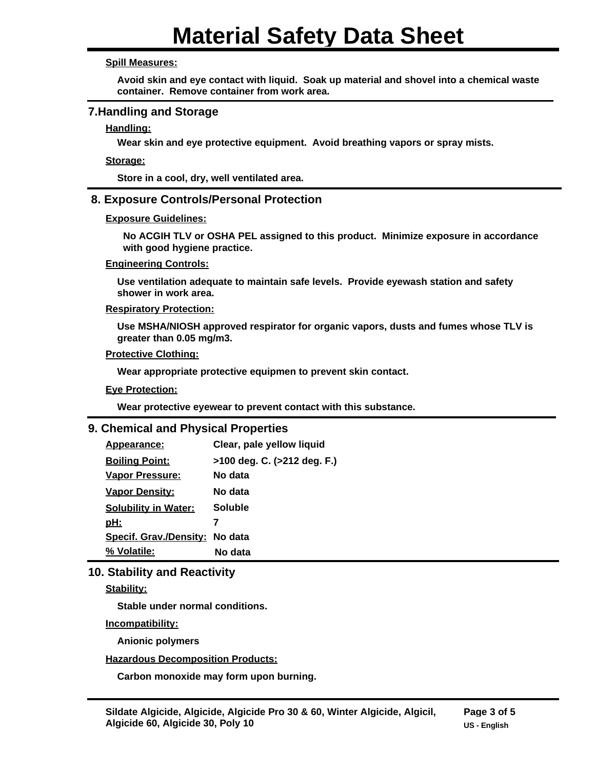## **Spill Measures:**

**Avoid skin and eye contact with liquid. Soak up material and shovel into a chemical waste container. Remove container from work area.**

## **7.Handling and Storage**

## **Handling:**

**Wear skin and eye protective equipment. Avoid breathing vapors or spray mists.**

#### **Storage:**

**Store in a cool, dry, well ventilated area.**

## **8. Exposure Controls/Personal Protection**

#### **Exposure Guidelines:**

**No ACGIH TLV or OSHA PEL assigned to this product. Minimize exposure in accordance with good hygiene practice.**

#### **Engineering Controls:**

**Use ventilation adequate to maintain safe levels. Provide eyewash station and safety shower in work area.**

#### **Respiratory Protection:**

**Use MSHA/NIOSH approved respirator for organic vapors, dusts and fumes whose TLV is greater than 0.05 mg/m3.**

#### **Protective Clothing:**

**Wear appropriate protective equipmen to prevent skin contact.**

#### **Eye Protection:**

**Wear protective eyewear to prevent contact with this substance.**

## **9. Chemical and Physical Properties**

| Clear, pale yellow liquid      |
|--------------------------------|
| >100 deg. C. (>212 deg. F.)    |
| No data                        |
| No data                        |
| <b>Soluble</b>                 |
|                                |
| Specif. Grav./Density: No data |
| No data                        |
|                                |

## **10. Stability and Reactivity**

**Stability:**

**Stable under normal conditions.**

**Incompatibility:**

**Anionic polymers**

**Hazardous Decomposition Products:**

**Carbon monoxide may form upon burning.**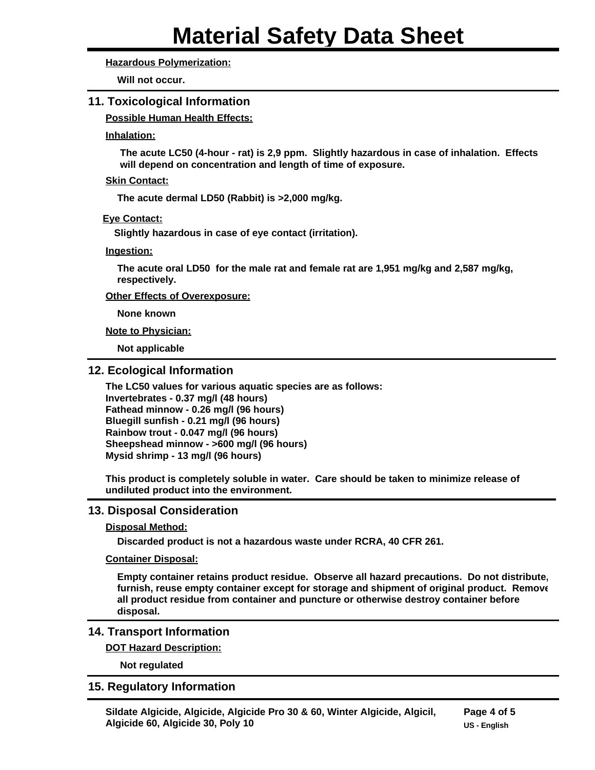## **Hazardous Polymerization:**

**Will not occur.**

# **11. Toxicological Information**

**Possible Human Health Effects:**

**Inhalation:**

**The acute LC50 (4-hour - rat) is 2,9 ppm. Slightly hazardous in case of inhalation. Effects will depend on concentration and length of time of exposure.**

## **Skin Contact:**

**The acute dermal LD50 (Rabbit) is >2,000 mg/kg.**

## **Eye Contact:**

**Slightly hazardous in case of eye contact (irritation).**

## **Ingestion:**

**The acute oral LD50 for the male rat and female rat are 1,951 mg/kg and 2,587 mg/kg, respectively.**

**Other Effects of Overexposure:**

**None known**

**Note to Physician:**

**Not applicable**

## **12. Ecological Information**

```
The LC50 values for various aquatic species are as follows:
Invertebrates - 0.37 mg/l (48 hours)
Fathead minnow - 0.26 mg/l (96 hours)
Bluegill sunfish - 0.21 mg/l (96 hours)
Rainbow trout - 0.047 mg/l (96 hours)
Sheepshead minnow - >600 mg/l (96 hours)
Mysid shrimp - 13 mg/l (96 hours)
```
**This product is completely soluble in water. Care should be taken to minimize release of undiluted product into the environment.**

## **13. Disposal Consideration**

## **Disposal Method:**

**Discarded product is not a hazardous waste under RCRA, 40 CFR 261.**

#### **Container Disposal:**

**Empty container retains product residue. Observe all hazard precautions. Do not distribute, furnish, reuse empty container except for storage and shipment of original product. Remove all product residue from container and puncture or otherwise destroy container before disposal.**

## **14. Transport Information**

**DOT Hazard Description:**

**Not regulated**

## **15. Regulatory Information**